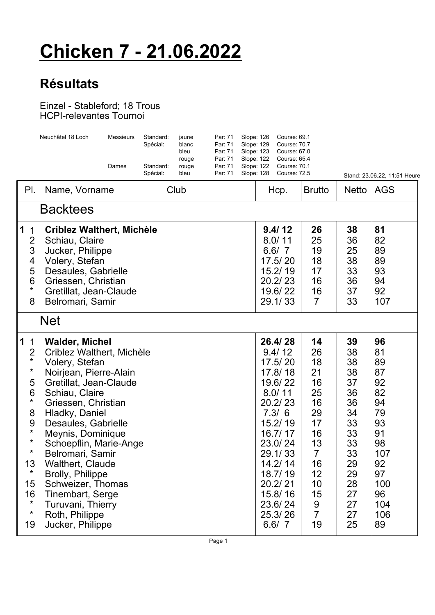## **Chicken 7 - 21.06.2022**

## **Résultats**

## Einzel - Stableford; 18 Trous HCPI-relevantes Tournoi

|                                                                                                                                                                                       | Neuchâtel 18 Loch                                                                                                                                                                                                                                                                                                                                                                                                         | <b>Messieurs</b><br>Dames | Standard:<br>Spécial:<br>Standard:<br>Spécial: | jaune<br>blanc<br>bleu<br>rouge<br>rouge<br>bleu | Par: 71<br>Par: 71<br>Par: 71<br>Par: 71<br>Par: 71<br>Par: 71 | Slope: 126<br>Slope: 129<br>Slope: 123<br>Slope: 122<br>Slope: 122<br>Slope: 128 | Course: 69.1<br>Course: 70.7<br>Course: 67.0<br>Course: 65.4<br><b>Course: 70.1</b><br><b>Course: 72.5</b>                                                                                              |                                                                                                                                       |                                                                                                                | Stand: 23.06.22, 11:51 Heure                                                                                       |  |  |  |  |
|---------------------------------------------------------------------------------------------------------------------------------------------------------------------------------------|---------------------------------------------------------------------------------------------------------------------------------------------------------------------------------------------------------------------------------------------------------------------------------------------------------------------------------------------------------------------------------------------------------------------------|---------------------------|------------------------------------------------|--------------------------------------------------|----------------------------------------------------------------|----------------------------------------------------------------------------------|---------------------------------------------------------------------------------------------------------------------------------------------------------------------------------------------------------|---------------------------------------------------------------------------------------------------------------------------------------|----------------------------------------------------------------------------------------------------------------|--------------------------------------------------------------------------------------------------------------------|--|--|--|--|
| PI.                                                                                                                                                                                   | Name, Vorname                                                                                                                                                                                                                                                                                                                                                                                                             |                           |                                                | Club                                             |                                                                |                                                                                  | Hcp.                                                                                                                                                                                                    | <b>Brutto</b>                                                                                                                         | <b>Netto</b>                                                                                                   | <b>AGS</b>                                                                                                         |  |  |  |  |
| <b>Backtees</b>                                                                                                                                                                       |                                                                                                                                                                                                                                                                                                                                                                                                                           |                           |                                                |                                                  |                                                                |                                                                                  |                                                                                                                                                                                                         |                                                                                                                                       |                                                                                                                |                                                                                                                    |  |  |  |  |
| 1<br>$\mathbf 1$<br>$\overline{2}$<br>3<br>$\overline{\mathbf{4}}$<br>5<br>6<br>$\star$<br>8                                                                                          | <b>Criblez Walthert, Michèle</b><br>Schiau, Claire<br>Jucker, Philippe<br>Volery, Stefan<br>Desaules, Gabrielle<br>Griessen, Christian<br>Gretillat, Jean-Claude<br>Belromari, Samir                                                                                                                                                                                                                                      |                           |                                                |                                                  |                                                                |                                                                                  | 9.4/12<br>8.0/11<br>6.6/7<br>17.5/20<br>15.2/19<br>20.2/23<br>19.6/22<br>29.1/33                                                                                                                        | 26<br>25<br>19<br>18<br>17<br>16<br>16<br>$\overline{7}$                                                                              | 38<br>36<br>25<br>38<br>33<br>36<br>37<br>33                                                                   | 81<br>82<br>89<br>89<br>93<br>94<br>92<br>107                                                                      |  |  |  |  |
| <b>Net</b>                                                                                                                                                                            |                                                                                                                                                                                                                                                                                                                                                                                                                           |                           |                                                |                                                  |                                                                |                                                                                  |                                                                                                                                                                                                         |                                                                                                                                       |                                                                                                                |                                                                                                                    |  |  |  |  |
| 1<br>$\mathbf 1$<br>$\overline{2}$<br>$\star$<br>$\star$<br>5<br>6<br>$\star$<br>8<br>$9$<br>$^\star$<br>$\star$<br>$^\star$<br>13<br>$\star$<br>15<br>16<br>$\star$<br>$\star$<br>19 | <b>Walder, Michel</b><br>Criblez Walthert, Michèle<br>Volery, Stefan<br>Noirjean, Pierre-Alain<br>Gretillat, Jean-Claude<br>Schiau, Claire<br>Griessen, Christian<br>Hladky, Daniel<br>Desaules, Gabrielle<br>Meynis, Dominique<br>Schoepflin, Marie-Ange<br>Belromari, Samir<br>Walthert, Claude<br>Brolly, Philippe<br>Schweizer, Thomas<br>Tinembart, Serge<br>Turuvani, Thierry<br>Roth, Philippe<br>Jucker, Philippe |                           |                                                |                                                  |                                                                |                                                                                  | 26.4/28<br>9.4/12<br>17.5/20<br>17.8/18<br>19.6/22<br>8.0/11<br>20.2/23<br>7.3/6<br>15.2/19<br>16.7/17<br>23.0/24<br>29.1/33<br>14.2/14<br>18.7/19<br>20.2/21<br>15.8/16<br>23.6/24<br>25.3/26<br>6.6/7 | 14<br>26<br>18<br>21<br>16<br>25<br>16<br>29<br>17<br>16<br>13<br>$\overline{7}$<br>16<br>12<br>10<br>15<br>9<br>$\overline{7}$<br>19 | 39<br>38<br>38<br>38<br>37<br>36<br>36<br>34<br>33<br>33<br>33<br>33<br>29<br>29<br>28<br>27<br>27<br>27<br>25 | 96<br>81<br>89<br>87<br>92<br>82<br>94<br>79<br>93<br>91<br>98<br>107<br>92<br>97<br>100<br>96<br>104<br>106<br>89 |  |  |  |  |